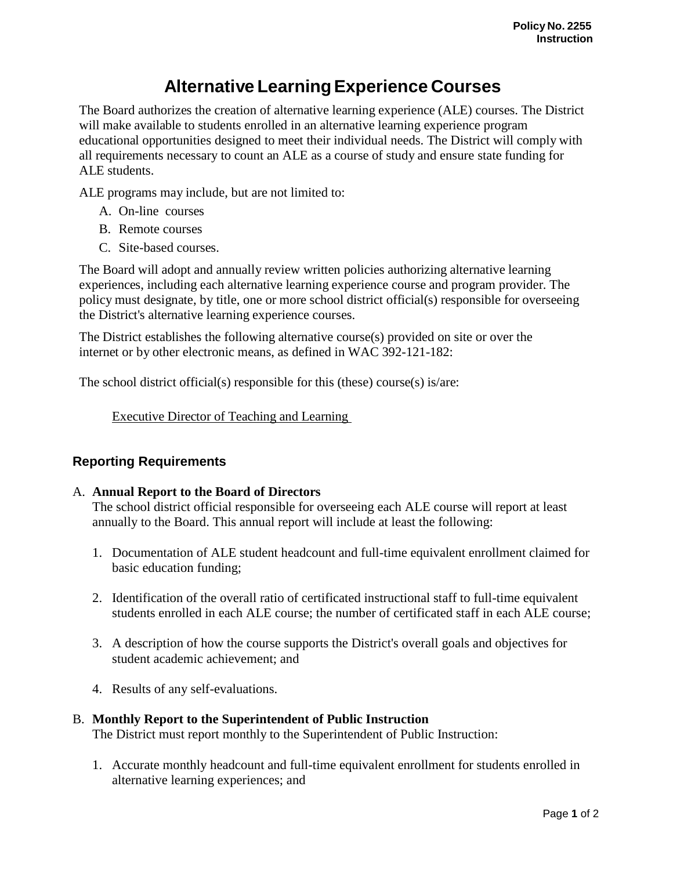# **Alternative LearningExperience Courses**

The Board authorizes the creation of alternative learning experience (ALE) courses. The District will make available to students enrolled in an alternative learning experience program educational opportunities designed to meet their individual needs. The District will comply with all requirements necessary to count an ALE as a course of study and ensure state funding for ALE students.

ALE programs may include, but are not limited to:

- A. On-line courses
- B. Remote courses
- C. Site-based courses.

The Board will adopt and annually review written policies authorizing alternative learning experiences, including each alternative learning experience course and program provider. The policy must designate, by title, one or more school district official(s) responsible for overseeing the District's alternative learning experience courses.

The District establishes the following alternative course(s) provided on site or over the internet or by other electronic means, as defined in WAC 392-121-182:

The school district official(s) responsible for this (these) course(s) is/are:

Executive Director of Teaching and Learning

## **Reporting Requirements**

### A. **Annual Report to the Board of Directors**

The school district official responsible for overseeing each ALE course will report at least annually to the Board. This annual report will include at least the following:

- 1. Documentation of ALE student headcount and full-time equivalent enrollment claimed for basic education funding;
- 2. Identification of the overall ratio of certificated instructional staff to full-time equivalent students enrolled in each ALE course; the number of certificated staff in each ALE course;
- 3. A description of how the course supports the District's overall goals and objectives for student academic achievement; and
- 4. Results of any self-evaluations.

### B. **Monthly Report to the Superintendent of Public Instruction**

The District must report monthly to the Superintendent of Public Instruction:

1. Accurate monthly headcount and full-time equivalent enrollment for students enrolled in alternative learning experiences; and